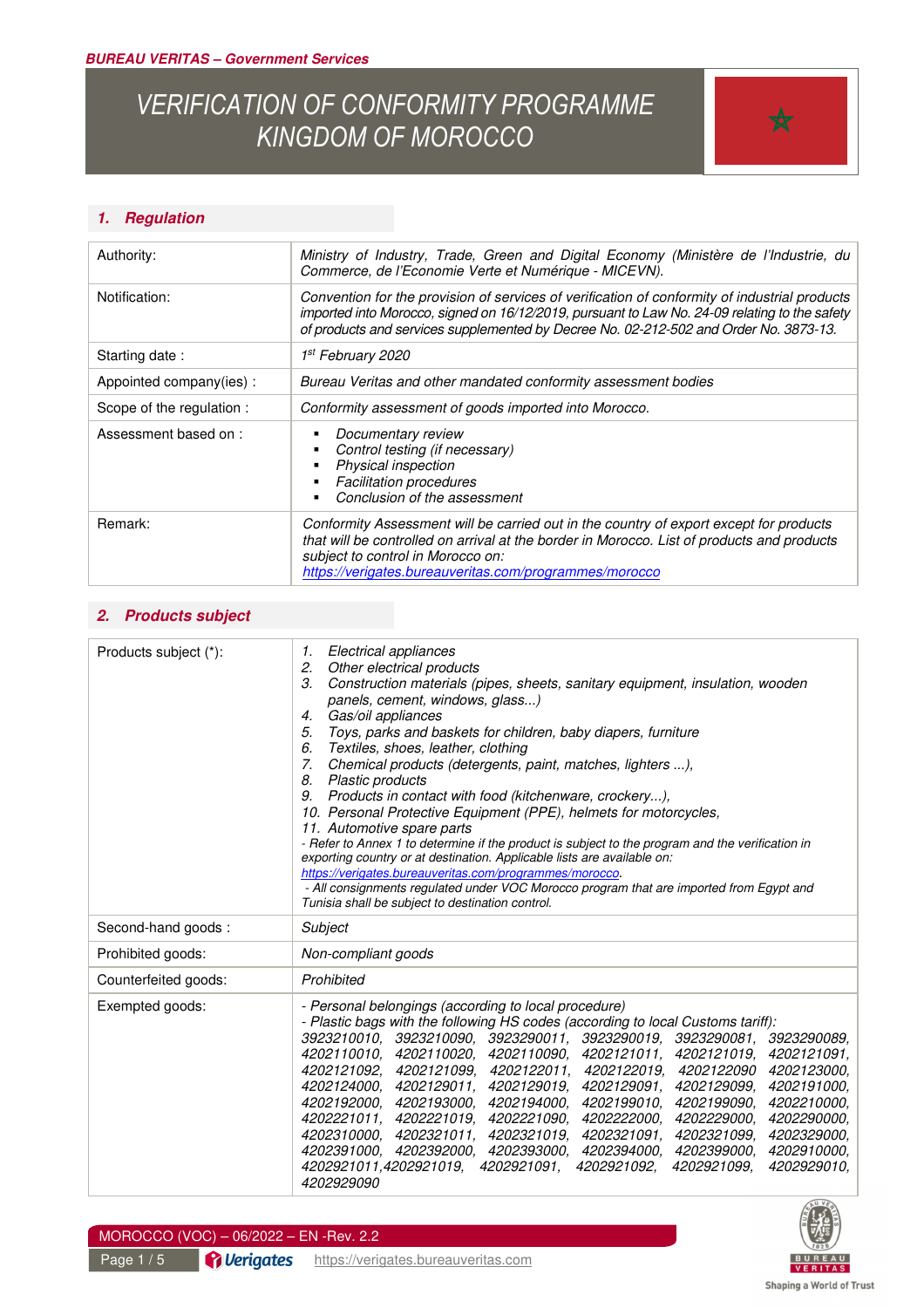# *VERIFICATION OF CONFORMITY PROGRAMME KINGDOM OF MOROCCO*



#### *1. Regulation*

| Authority:                | Ministry of Industry, Trade, Green and Digital Economy (Ministère de l'Industrie, du<br>Commerce, de l'Economie Verte et Numérique - MICEVN).<br>Convention for the provision of services of verification of conformity of industrial products<br>imported into Morocco, signed on 16/12/2019, pursuant to Law No. 24-09 relating to the safety<br>of products and services supplemented by Decree No. 02-212-502 and Order No. 3873-13. |  |
|---------------------------|------------------------------------------------------------------------------------------------------------------------------------------------------------------------------------------------------------------------------------------------------------------------------------------------------------------------------------------------------------------------------------------------------------------------------------------|--|
| Notification:             |                                                                                                                                                                                                                                                                                                                                                                                                                                          |  |
| Starting date:            | 1st February 2020                                                                                                                                                                                                                                                                                                                                                                                                                        |  |
| Appointed company(ies):   | Bureau Veritas and other mandated conformity assessment bodies                                                                                                                                                                                                                                                                                                                                                                           |  |
| Scope of the regulation : | Conformity assessment of goods imported into Morocco.                                                                                                                                                                                                                                                                                                                                                                                    |  |
| Assessment based on:      | Documentary review<br>Control testing (if necessary)<br>Physical inspection<br><b>Facilitation procedures</b><br>Conclusion of the assessment                                                                                                                                                                                                                                                                                            |  |
| Remark:                   | Conformity Assessment will be carried out in the country of export except for products<br>that will be controlled on arrival at the border in Morocco. List of products and products<br>subject to control in Morocco on:<br>https://verigates.bureauveritas.com/programmes/morocco                                                                                                                                                      |  |

#### *2. Products subject*

| Products subject (*): | Electrical appliances<br>1.<br>2.<br>Other electrical products<br>3.<br>Construction materials (pipes, sheets, sanitary equipment, insulation, wooden<br>panels, cement, windows, glass)<br>Gas/oil appliances<br>4.<br>5.<br>Toys, parks and baskets for children, baby diapers, furniture<br>6.<br>Textiles, shoes, leather, clothing<br>7.<br>Chemical products (detergents, paint, matches, lighters ),<br>8.<br><b>Plastic products</b><br>Products in contact with food (kitchenware, crockery),<br>9.<br>10. Personal Protective Equipment (PPE), helmets for motorcycles,<br>11. Automotive spare parts<br>- Refer to Annex 1 to determine if the product is subject to the program and the verification in<br>exporting country or at destination. Applicable lists are available on:<br>https://verigates.bureauveritas.com/programmes/morocco.<br>- All consignments regulated under VOC Morocco program that are imported from Egypt and<br>Tunisia shall be subject to destination control. |  |
|-----------------------|----------------------------------------------------------------------------------------------------------------------------------------------------------------------------------------------------------------------------------------------------------------------------------------------------------------------------------------------------------------------------------------------------------------------------------------------------------------------------------------------------------------------------------------------------------------------------------------------------------------------------------------------------------------------------------------------------------------------------------------------------------------------------------------------------------------------------------------------------------------------------------------------------------------------------------------------------------------------------------------------------------|--|
| Second-hand goods:    | Subject                                                                                                                                                                                                                                                                                                                                                                                                                                                                                                                                                                                                                                                                                                                                                                                                                                                                                                                                                                                                  |  |
| Prohibited goods:     | Non-compliant goods                                                                                                                                                                                                                                                                                                                                                                                                                                                                                                                                                                                                                                                                                                                                                                                                                                                                                                                                                                                      |  |
| Counterfeited goods:  | Prohibited                                                                                                                                                                                                                                                                                                                                                                                                                                                                                                                                                                                                                                                                                                                                                                                                                                                                                                                                                                                               |  |
| Exempted goods:       | - Personal belongings (according to local procedure)<br>- Plastic bags with the following HS codes (according to local Customs tariff):<br>3923210010, 3923210090, 3923290011, 3923290019, 3923290081, 3923290089,<br>4202110010.<br>4202110020,<br>4202110090.<br>4202121011, 4202121019,<br>4202121091,<br>4202121092.<br>4202121099,<br>4202122011,<br>4202123000.<br>4202122019,<br>4202122090<br>4202124000.<br>4202129011.<br>4202129019,<br>4202129091.<br>4202129099.<br>4202191000,<br>4202192000.<br>4202193000, 4202194000,<br>4202199010,<br>4202210000.<br>4202199090.<br>4202221011,<br>4202221019.<br>4202221090.<br>4202222000.<br>4202229000.<br>4202290000.<br>4202310000, 4202321011, 4202321019,<br>4202321091, 4202321099,<br>4202329000,<br>4202910000.<br>4202391000. 4202392000. 4202393000.<br>4202394000. 4202399000.<br>4202921011,4202921019,<br>4202921091,<br>4202921092,<br>4202921099,<br>4202929010,<br>4202929090                                                      |  |



#### MOROCCO (VOC) – 06/2022 – EN -Rev. 2.2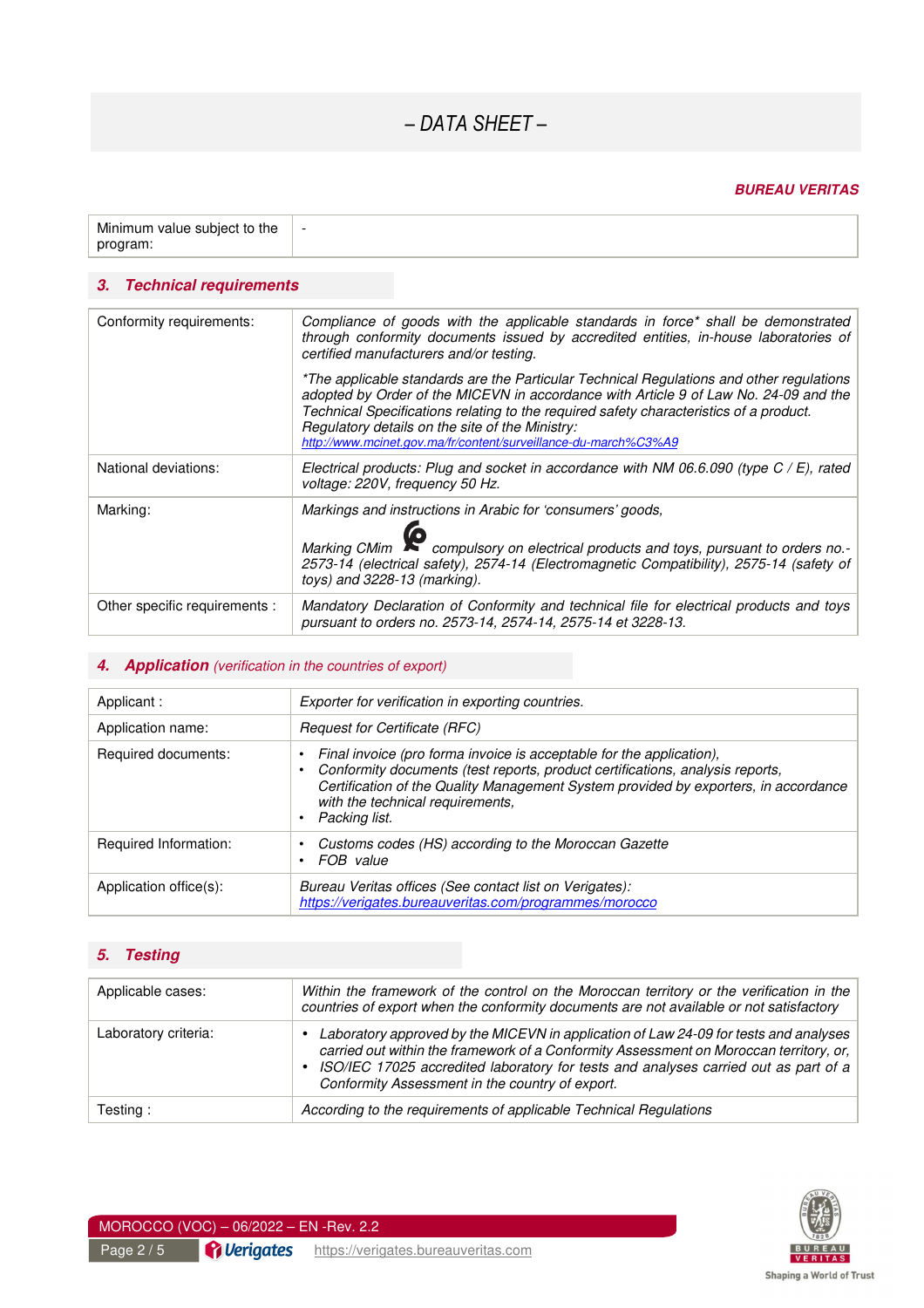## *– DATA SHEET –*

#### *BUREAU VERITAS*

| Minimum value subject to the $\parallel$ | $\overline{\phantom{a}}$ |
|------------------------------------------|--------------------------|
| program:                                 |                          |

#### *3. Technical requirements*

| Conformity requirements:      | Compliance of goods with the applicable standards in force* shall be demonstrated<br>through conformity documents issued by accredited entities, in-house laboratories of<br>certified manufacturers and/or testing.                                                                                                                                                                             |
|-------------------------------|--------------------------------------------------------------------------------------------------------------------------------------------------------------------------------------------------------------------------------------------------------------------------------------------------------------------------------------------------------------------------------------------------|
|                               | *The applicable standards are the Particular Technical Regulations and other regulations<br>adopted by Order of the MICEVN in accordance with Article 9 of Law No. 24-09 and the<br>Technical Specifications relating to the required safety characteristics of a product.<br>Regulatory details on the site of the Ministry:<br>http://www.mcinet.gov.ma/fr/content/surveillance-du-march%C3%A9 |
| National deviations:          | Electrical products: Plug and socket in accordance with NM 06.6.090 (type $C / E$ ), rated<br>voltage: 220V, frequency 50 Hz.                                                                                                                                                                                                                                                                    |
| Marking:                      | Markings and instructions in Arabic for 'consumers' goods,<br>Marking CMim compulsory on electrical products and toys, pursuant to orders no.-<br>2573-14 (electrical safety), 2574-14 (Electromagnetic Compatibility), 2575-14 (safety of<br>toys) and $3228-13$ (marking).                                                                                                                     |
| Other specific requirements : | Mandatory Declaration of Conformity and technical file for electrical products and toys<br>pursuant to orders no. 2573-14, 2574-14, 2575-14 et 3228-13.                                                                                                                                                                                                                                          |

#### **4.** Application (verification in the countries of export)

| Applicant :            | Exporter for verification in exporting countries.                                                                                                                                                                                                                                                 |  |
|------------------------|---------------------------------------------------------------------------------------------------------------------------------------------------------------------------------------------------------------------------------------------------------------------------------------------------|--|
| Application name:      | <b>Request for Certificate (RFC)</b>                                                                                                                                                                                                                                                              |  |
| Required documents:    | Final invoice (pro forma invoice is acceptable for the application),<br>Conformity documents (test reports, product certifications, analysis reports,<br>Certification of the Quality Management System provided by exporters, in accordance<br>with the technical requirements,<br>Packing list. |  |
| Required Information:  | Customs codes (HS) according to the Moroccan Gazette<br>FOB value                                                                                                                                                                                                                                 |  |
| Application office(s): | Bureau Veritas offices (See contact list on Verigates):<br>https://verigates.bureauveritas.com/programmes/morocco                                                                                                                                                                                 |  |

### *5. Testing*

| Applicable cases:    | Within the framework of the control on the Moroccan territory or the verification in the<br>countries of export when the conformity documents are not available or not satisfactory                                                                                                                                          |  |
|----------------------|------------------------------------------------------------------------------------------------------------------------------------------------------------------------------------------------------------------------------------------------------------------------------------------------------------------------------|--|
| Laboratory criteria: | • Laboratory approved by the MICEVN in application of Law 24-09 for tests and analyses<br>carried out within the framework of a Conformity Assessment on Moroccan territory, or,<br>• ISO/IEC 17025 accredited laboratory for tests and analyses carried out as part of a<br>Conformity Assessment in the country of export. |  |
| Testing:             | According to the requirements of applicable Technical Regulations                                                                                                                                                                                                                                                            |  |

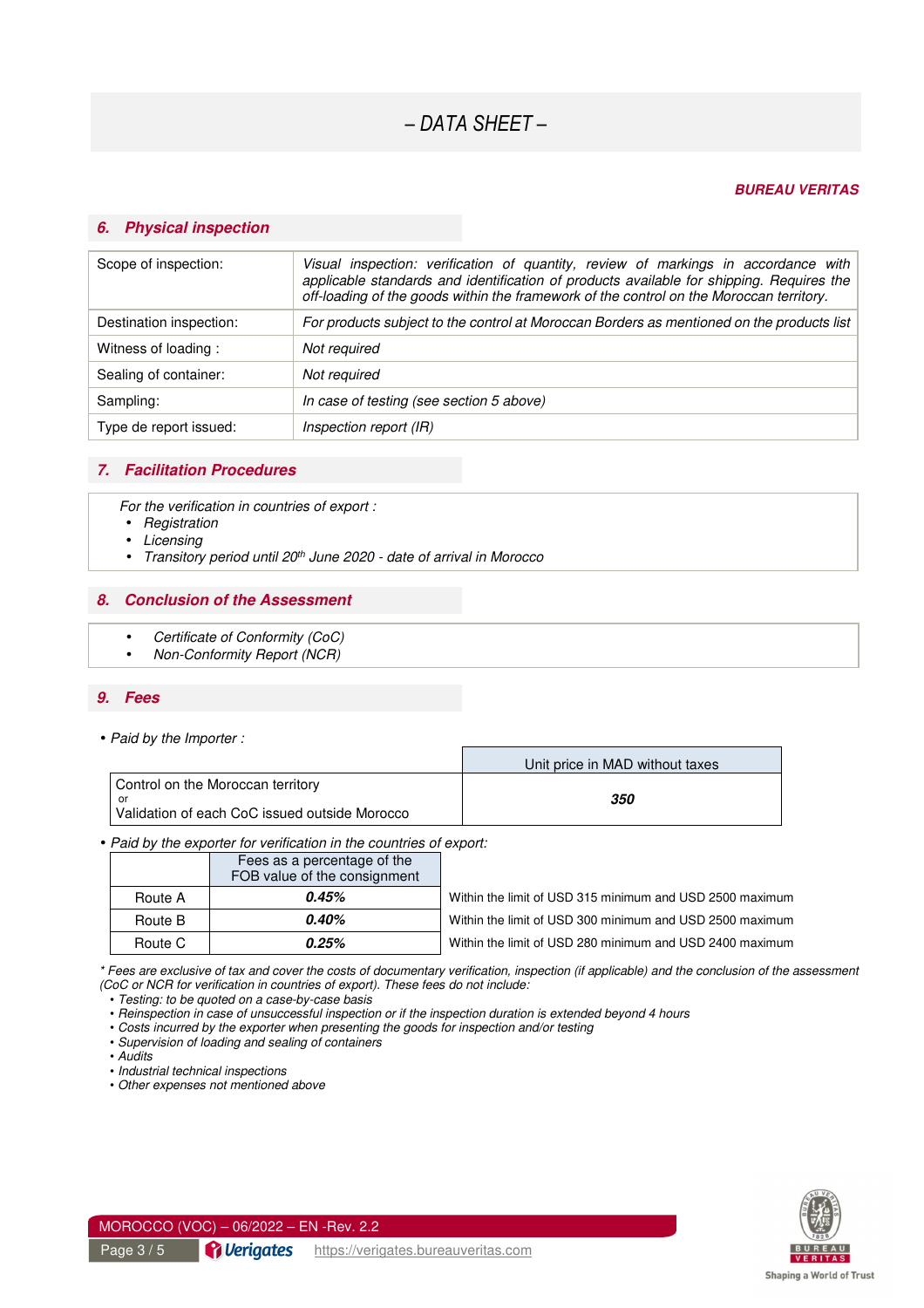#### *BUREAU VERITAS*

#### *6. Physical inspection*

| Scope of inspection:    | Visual inspection: verification of quantity, review of markings in accordance with<br>applicable standards and identification of products available for shipping. Requires the<br>off-loading of the goods within the framework of the control on the Moroccan territory. |  |
|-------------------------|---------------------------------------------------------------------------------------------------------------------------------------------------------------------------------------------------------------------------------------------------------------------------|--|
| Destination inspection: | For products subject to the control at Moroccan Borders as mentioned on the products list                                                                                                                                                                                 |  |
| Witness of loading:     | Not required                                                                                                                                                                                                                                                              |  |
| Sealing of container:   | Not required                                                                                                                                                                                                                                                              |  |
| Sampling:               | In case of testing (see section 5 above)                                                                                                                                                                                                                                  |  |
| Type de report issued:  | Inspection report (IR)                                                                                                                                                                                                                                                    |  |

#### *7. Facilitation Procedures*

For the verification in countries of export :

- Registration
- **Licensing**
- Transitory period until 20<sup>th</sup> June 2020 date of arrival in Morocco

#### *8. Conclusion of the Assessment*

- Certificate of Conformity (CoC)
- Non-Conformity Report (NCR)

#### *9. Fees*

• Paid by the Importer :

|                                                                                           | Unit price in MAD without taxes |
|-------------------------------------------------------------------------------------------|---------------------------------|
| Control on the Moroccan territory<br>.or<br>Validation of each CoC issued outside Morocco | 350                             |

Г

#### • Paid by the exporter for verification in the countries of export:

|         | Fees as a percentage of the<br>FOB value of the consignment |                                                          |
|---------|-------------------------------------------------------------|----------------------------------------------------------|
|         |                                                             |                                                          |
| Route A | 0.45%                                                       | Within the limit of USD 315 minimum and USD 2500 maximum |
| Route B | $0.40\%$                                                    | Within the limit of USD 300 minimum and USD 2500 maximum |
| Route C | $0.25\%$                                                    | Within the limit of USD 280 minimum and USD 2400 maximum |

\* Fees are exclusive of tax and cover the costs of documentary verification, inspection (if applicable) and the conclusion of the assessment (CoC or NCR for verification in countries of export). These fees do not include:

• Testing: to be quoted on a case-by-case basis

• Reinspection in case of unsuccessful inspection or if the inspection duration is extended beyond 4 hours

• Costs incurred by the exporter when presenting the goods for inspection and/or testing

• Supervision of loading and sealing of containers

• Audits

• Industrial technical inspections

• Other expenses not mentioned above



MOROCCO (VOC) – 06/2022 – EN -Rev. 2.2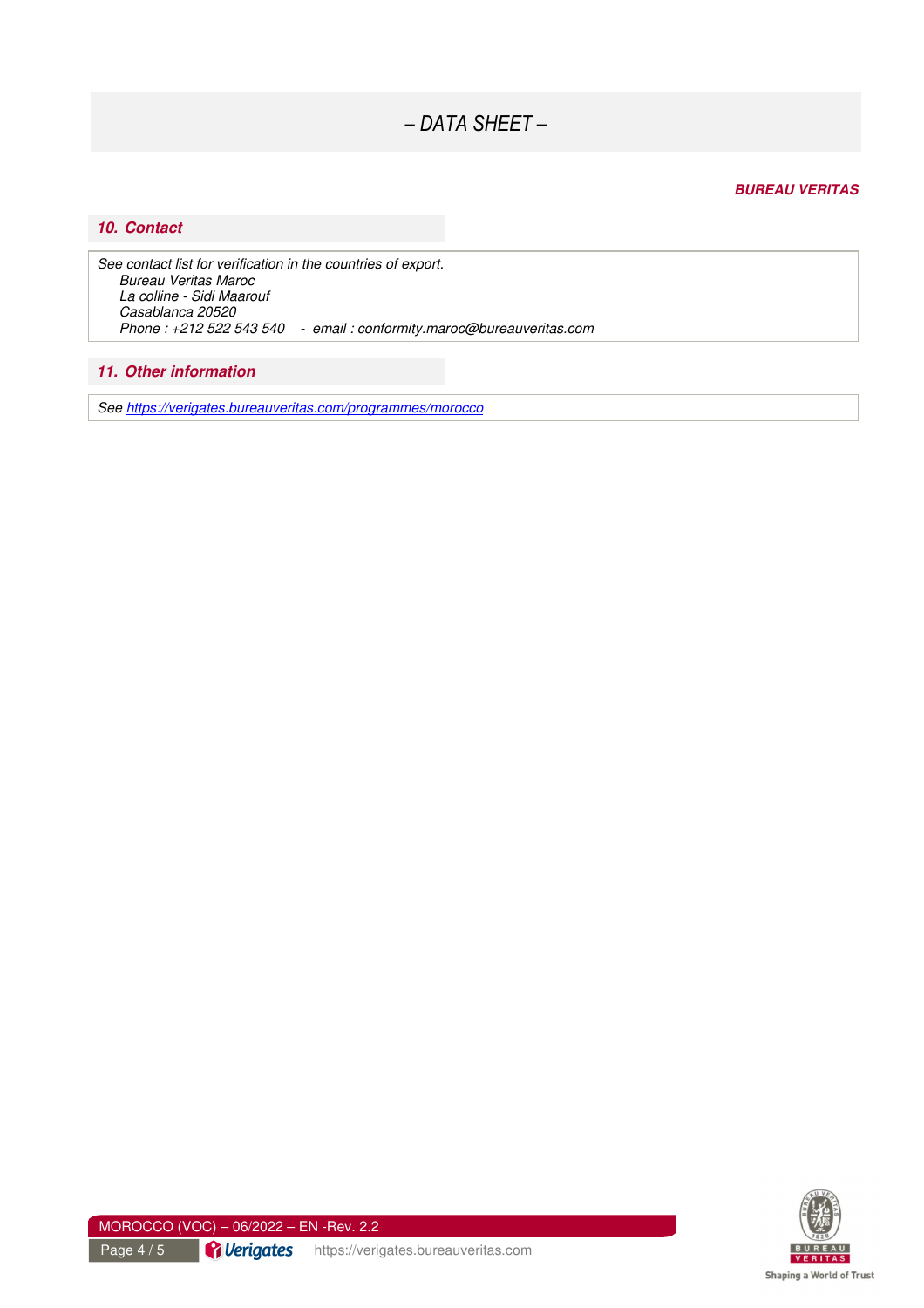*– DATA SHEET –* 

#### *BUREAU VERITAS*

#### *10. Contact*

See contact list for verification in the countries of export. Bureau Veritas Maroc La colline - Sidi Maarouf Casablanca 20520 Phone : +212 522 543 540 - email : conformity.maroc@bureauveritas.com

#### *11. Other information*

See https://verigates.bureauveritas.com/programmes/morocco